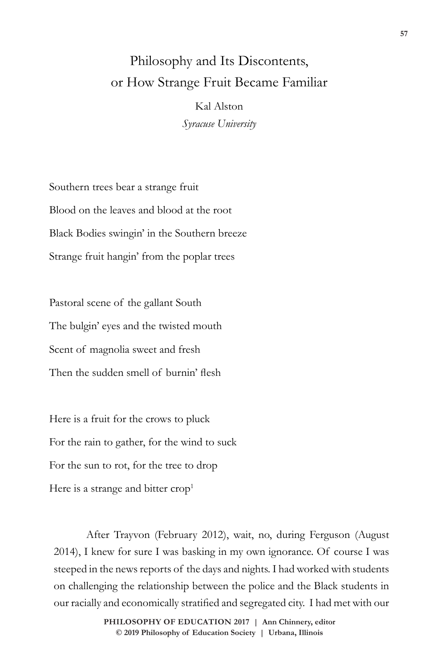## Philosophy and Its Discontents, or How Strange Fruit Became Familiar

Kal Alston *Syracuse University*

Southern trees bear a strange fruit Blood on the leaves and blood at the root Black Bodies swingin' in the Southern breeze Strange fruit hangin' from the poplar trees

Pastoral scene of the gallant South The bulgin' eyes and the twisted mouth Scent of magnolia sweet and fresh Then the sudden smell of burnin' flesh

Here is a fruit for the crows to pluck For the rain to gather, for the wind to suck For the sun to rot, for the tree to drop Here is a strange and bitter  $\text{crop}^1$ 

After Trayvon (February 2012), wait, no, during Ferguson (August 2014), I knew for sure I was basking in my own ignorance. Of course I was steeped in the news reports of the days and nights. I had worked with students on challenging the relationship between the police and the Black students in our racially and economically stratified and segregated city. I had met with our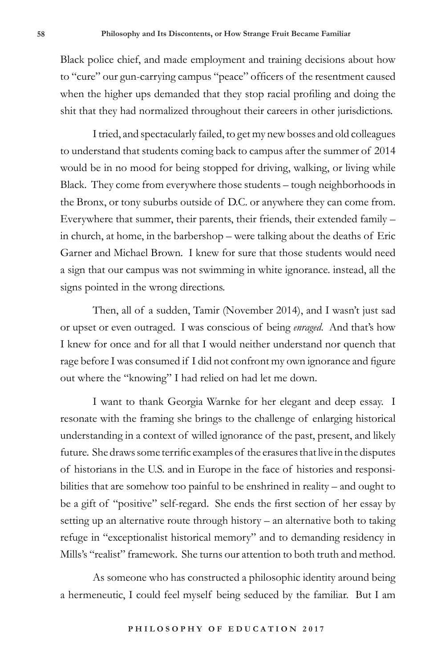Black police chief, and made employment and training decisions about how to "cure" our gun-carrying campus "peace" officers of the resentment caused when the higher ups demanded that they stop racial profiling and doing the shit that they had normalized throughout their careers in other jurisdictions.

I tried, and spectacularly failed, to get my new bosses and old colleagues to understand that students coming back to campus after the summer of 2014 would be in no mood for being stopped for driving, walking, or living while Black. They come from everywhere those students – tough neighborhoods in the Bronx, or tony suburbs outside of D.C. or anywhere they can come from. Everywhere that summer, their parents, their friends, their extended family – in church, at home, in the barbershop – were talking about the deaths of Eric Garner and Michael Brown. I knew for sure that those students would need a sign that our campus was not swimming in white ignorance. instead, all the signs pointed in the wrong directions.

Then, all of a sudden, Tamir (November 2014), and I wasn't just sad or upset or even outraged. I was conscious of being *enraged*. And that's how I knew for once and for all that I would neither understand nor quench that rage before I was consumed if I did not confront my own ignorance and figure out where the "knowing" I had relied on had let me down.

I want to thank Georgia Warnke for her elegant and deep essay. I resonate with the framing she brings to the challenge of enlarging historical understanding in a context of willed ignorance of the past, present, and likely future. She draws some terrific examples of the erasures that live in the disputes of historians in the U.S. and in Europe in the face of histories and responsibilities that are somehow too painful to be enshrined in reality – and ought to be a gift of "positive" self-regard. She ends the first section of her essay by setting up an alternative route through history – an alternative both to taking refuge in "exceptionalist historical memory" and to demanding residency in Mills's "realist" framework. She turns our attention to both truth and method.

As someone who has constructed a philosophic identity around being a hermeneutic, I could feel myself being seduced by the familiar. But I am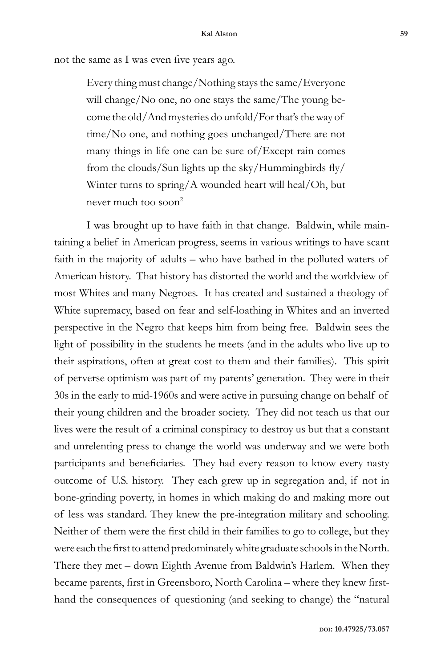not the same as I was even five years ago.

Every thing must change/Nothing stays the same/Everyone will change/No one, no one stays the same/The young become the old/And mysteries do unfold/For that's the way of time/No one, and nothing goes unchanged/There are not many things in life one can be sure of/Except rain comes from the clouds/Sun lights up the sky/Hummingbirds fly/ Winter turns to spring/A wounded heart will heal/Oh, but never much too soon<sup>2</sup>

I was brought up to have faith in that change. Baldwin, while maintaining a belief in American progress, seems in various writings to have scant faith in the majority of adults – who have bathed in the polluted waters of American history. That history has distorted the world and the worldview of most Whites and many Negroes. It has created and sustained a theology of White supremacy, based on fear and self-loathing in Whites and an inverted perspective in the Negro that keeps him from being free. Baldwin sees the light of possibility in the students he meets (and in the adults who live up to their aspirations, often at great cost to them and their families). This spirit of perverse optimism was part of my parents' generation. They were in their 30s in the early to mid-1960s and were active in pursuing change on behalf of their young children and the broader society. They did not teach us that our lives were the result of a criminal conspiracy to destroy us but that a constant and unrelenting press to change the world was underway and we were both participants and beneficiaries. They had every reason to know every nasty outcome of U.S. history. They each grew up in segregation and, if not in bone-grinding poverty, in homes in which making do and making more out of less was standard. They knew the pre-integration military and schooling. Neither of them were the first child in their families to go to college, but they were each the first to attend predominately white graduate schools in the North. There they met – down Eighth Avenue from Baldwin's Harlem. When they became parents, first in Greensboro, North Carolina – where they knew firsthand the consequences of questioning (and seeking to change) the "natural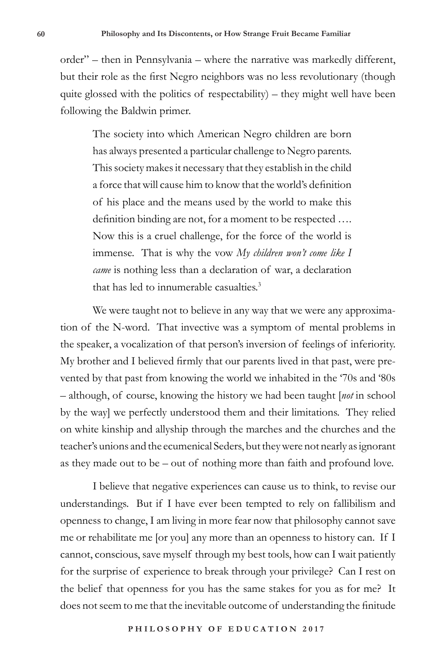order" – then in Pennsylvania – where the narrative was markedly different, but their role as the first Negro neighbors was no less revolutionary (though quite glossed with the politics of respectability) – they might well have been following the Baldwin primer.

The society into which American Negro children are born has always presented a particular challenge to Negro parents. This society makes it necessary that they establish in the child a force that will cause him to know that the world's definition of his place and the means used by the world to make this definition binding are not, for a moment to be respected …. Now this is a cruel challenge, for the force of the world is immense. That is why the vow *My children won't come like I came* is nothing less than a declaration of war, a declaration that has led to innumerable casualties.3

We were taught not to believe in any way that we were any approximation of the N-word. That invective was a symptom of mental problems in the speaker, a vocalization of that person's inversion of feelings of inferiority. My brother and I believed firmly that our parents lived in that past, were prevented by that past from knowing the world we inhabited in the '70s and '80s – although, of course, knowing the history we had been taught [*not* in school by the way] we perfectly understood them and their limitations. They relied on white kinship and allyship through the marches and the churches and the teacher's unions and the ecumenical Seders, but they were not nearly as ignorant as they made out to be – out of nothing more than faith and profound love.

I believe that negative experiences can cause us to think, to revise our understandings. But if I have ever been tempted to rely on fallibilism and openness to change, I am living in more fear now that philosophy cannot save me or rehabilitate me [or you] any more than an openness to history can. If I cannot, conscious, save myself through my best tools, how can I wait patiently for the surprise of experience to break through your privilege? Can I rest on the belief that openness for you has the same stakes for you as for me? It does not seem to me that the inevitable outcome of understanding the finitude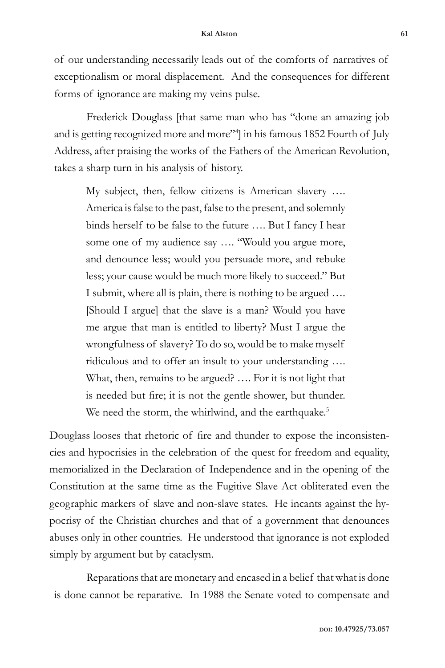of our understanding necessarily leads out of the comforts of narratives of exceptionalism or moral displacement. And the consequences for different forms of ignorance are making my veins pulse.

Frederick Douglass [that same man who has "done an amazing job and is getting recognized more and more"4 ] in his famous 1852 Fourth of July Address, after praising the works of the Fathers of the American Revolution, takes a sharp turn in his analysis of history.

My subject, then, fellow citizens is American slavery …. America is false to the past, false to the present, and solemnly binds herself to be false to the future …. But I fancy I hear some one of my audience say …. "Would you argue more, and denounce less; would you persuade more, and rebuke less; your cause would be much more likely to succeed." But I submit, where all is plain, there is nothing to be argued …. [Should I argue] that the slave is a man? Would you have me argue that man is entitled to liberty? Must I argue the wrongfulness of slavery? To do so, would be to make myself ridiculous and to offer an insult to your understanding …. What, then, remains to be argued? …. For it is not light that is needed but fire; it is not the gentle shower, but thunder. We need the storm, the whirlwind, and the earthquake.<sup>5</sup>

Douglass looses that rhetoric of fire and thunder to expose the inconsistencies and hypocrisies in the celebration of the quest for freedom and equality, memorialized in the Declaration of Independence and in the opening of the Constitution at the same time as the Fugitive Slave Act obliterated even the geographic markers of slave and non-slave states. He incants against the hypocrisy of the Christian churches and that of a government that denounces abuses only in other countries. He understood that ignorance is not exploded simply by argument but by cataclysm.

Reparations that are monetary and encased in a belief that what is done is done cannot be reparative. In 1988 the Senate voted to compensate and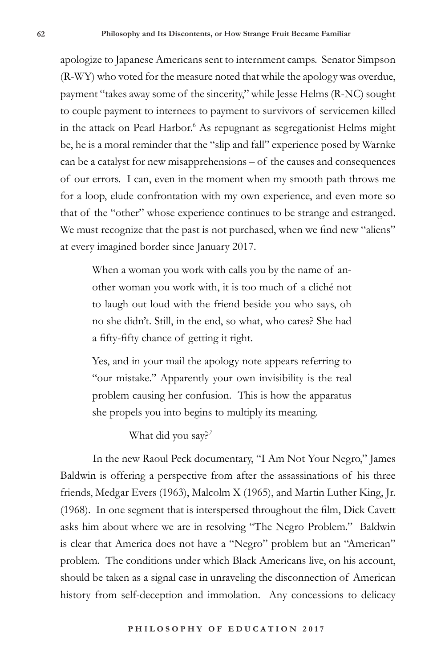apologize to Japanese Americans sent to internment camps. Senator Simpson (R-WY) who voted for the measure noted that while the apology was overdue, payment "takes away some of the sincerity," while Jesse Helms (R-NC) sought to couple payment to internees to payment to survivors of servicemen killed in the attack on Pearl Harbor.6 As repugnant as segregationist Helms might be, he is a moral reminder that the "slip and fall" experience posed by Warnke can be a catalyst for new misapprehensions – of the causes and consequences of our errors. I can, even in the moment when my smooth path throws me for a loop, elude confrontation with my own experience, and even more so that of the "other" whose experience continues to be strange and estranged. We must recognize that the past is not purchased, when we find new "aliens" at every imagined border since January 2017.

When a woman you work with calls you by the name of another woman you work with, it is too much of a cliché not to laugh out loud with the friend beside you who says, oh no she didn't. Still, in the end, so what, who cares? She had a fifty-fifty chance of getting it right.

Yes, and in your mail the apology note appears referring to "our mistake." Apparently your own invisibility is the real problem causing her confusion. This is how the apparatus she propels you into begins to multiply its meaning.

What did you say?*<sup>7</sup>*

In the new Raoul Peck documentary, "I Am Not Your Negro," James Baldwin is offering a perspective from after the assassinations of his three friends, Medgar Evers (1963), Malcolm X (1965), and Martin Luther King, Jr. (1968). In one segment that is interspersed throughout the film, Dick Cavett asks him about where we are in resolving "The Negro Problem." Baldwin is clear that America does not have a "Negro" problem but an "American" problem. The conditions under which Black Americans live, on his account, should be taken as a signal case in unraveling the disconnection of American history from self-deception and immolation. Any concessions to delicacy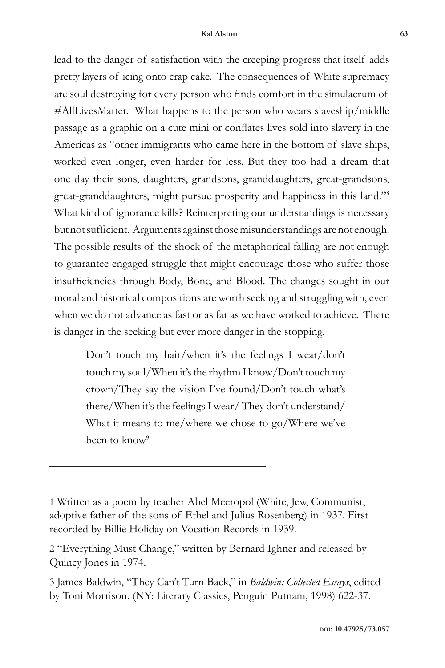lead to the danger of satisfaction with the creeping progress that itself adds pretty layers of icing onto crap cake. The consequences of White supremacy are soul destroying for every person who finds comfort in the simulacrum of #AllLivesMatter. What happens to the person who wears slaveship/middle passage as a graphic on a cute mini or conflates lives sold into slavery in the Americas as "other immigrants who came here in the bottom of slave ships, worked even longer, even harder for less. But they too had a dream that one day their sons, daughters, grandsons, granddaughters, great-grandsons, great-granddaughters, might pursue prosperity and happiness in this land."8 What kind of ignorance kills? Reinterpreting our understandings is necessary but not sufficient. Arguments against those misunderstandings are not enough. The possible results of the shock of the metaphorical falling are not enough to guarantee engaged struggle that might encourage those who suffer those insufficiencies through Body, Bone, and Blood. The changes sought in our moral and historical compositions are worth seeking and struggling with, even when we do not advance as fast or as far as we have worked to achieve. There is danger in the seeking but ever more danger in the stopping.

Don't touch my hair/when it's the feelings I wear/don't touch my soul/When it's the rhythm I know/Don't touch my crown/They say the vision I've found/Don't touch what's there/When it's the feelings I wear/ They don't understand/ What it means to me/where we chose to go/Where we've been to know<sup>9</sup>

<sup>1</sup> Written as a poem by teacher Abel Meeropol (White, Jew, Communist, adoptive father of the sons of Ethel and Julius Rosenberg) in 1937. First recorded by Billie Holiday on Vocation Records in 1939.

<sup>2 &</sup>quot;Everything Must Change," written by Bernard Ighner and released by Quincy Jones in 1974.

<sup>3</sup> James Baldwin, "They Can't Turn Back," in *Baldwin: Collected Essays*, edited by Toni Morrison. (NY: Literary Classics, Penguin Putnam, 1998) 622-37.